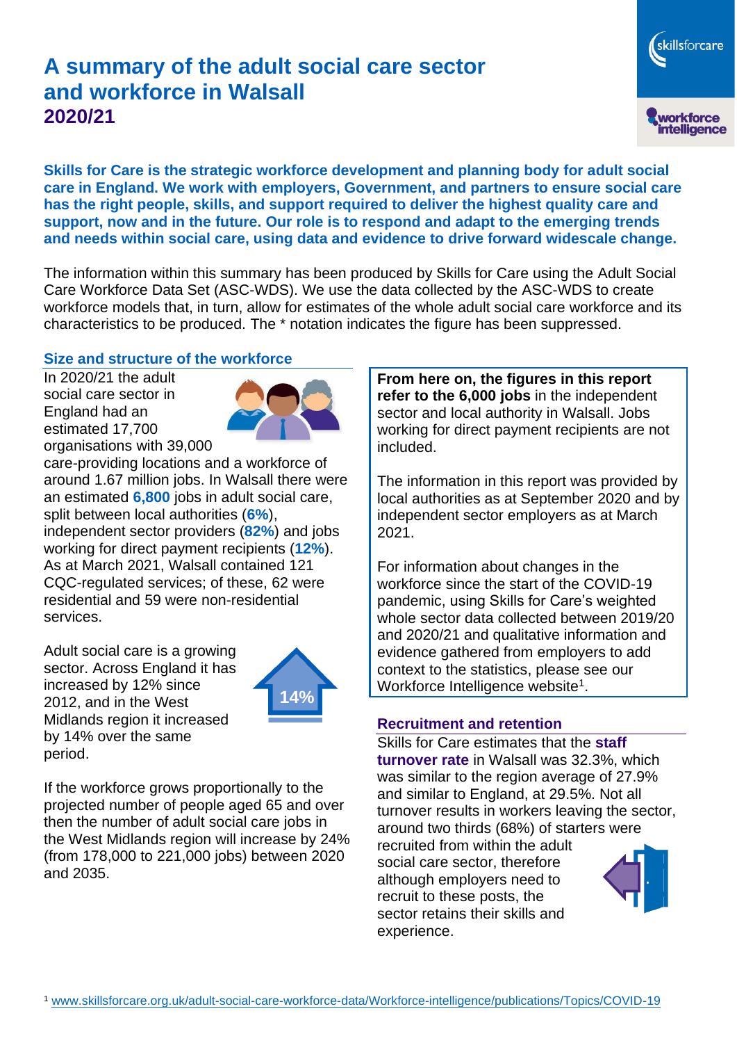# **A summary of the adult social care sector and workforce in Walsall 2020/21**

skillsforcare workforce<br>intelligence

**Skills for Care is the strategic workforce development and planning body for adult social care in England. We work with employers, Government, and partners to ensure social care has the right people, skills, and support required to deliver the highest quality care and support, now and in the future. Our role is to respond and adapt to the emerging trends and needs within social care, using data and evidence to drive forward widescale change.**

The information within this summary has been produced by Skills for Care using the Adult Social Care Workforce Data Set (ASC-WDS). We use the data collected by the ASC-WDS to create workforce models that, in turn, allow for estimates of the whole adult social care workforce and its characteristics to be produced. The \* notation indicates the figure has been suppressed.

#### **Size and structure of the workforce**

In 2020/21 the adult social care sector in England had an estimated 17,700 organisations with 39,000



care-providing locations and a workforce of around 1.67 million jobs. In Walsall there were an estimated **6,800** jobs in adult social care, split between local authorities (**6%**), independent sector providers (**82%**) and jobs working for direct payment recipients (**12%**). As at March 2021, Walsall contained 121 CQC-regulated services; of these, 62 were residential and 59 were non-residential services.

Adult social care is a growing sector. Across England it has increased by 12% since 2012, and in the West Midlands region it increased by 14% over the same period.



If the workforce grows proportionally to the projected number of people aged 65 and over then the number of adult social care jobs in the West Midlands region will increase by 24% (from 178,000 to 221,000 jobs) between 2020 and 2035.

**From here on, the figures in this report refer to the 6,000 jobs** in the independent sector and local authority in Walsall. Jobs working for direct payment recipients are not included.

The information in this report was provided by local authorities as at September 2020 and by independent sector employers as at March 2021.

For information about changes in the workforce since the start of the COVID-19 pandemic, using Skills for Care's weighted whole sector data collected between 2019/20 and 2020/21 and qualitative information and evidence gathered from employers to add context to the statistics, please see our Workforce Intelligence website<sup>1</sup>.

#### **Recruitment and retention**

Skills for Care estimates that the **staff turnover rate** in Walsall was 32.3%, which was similar to the region average of 27.9% and similar to England, at 29.5%. Not all turnover results in workers leaving the sector, around two thirds (68%) of starters were recruited from within the adult social care sector, therefore although employers need to recruit to these posts, the sector retains their skills and experience.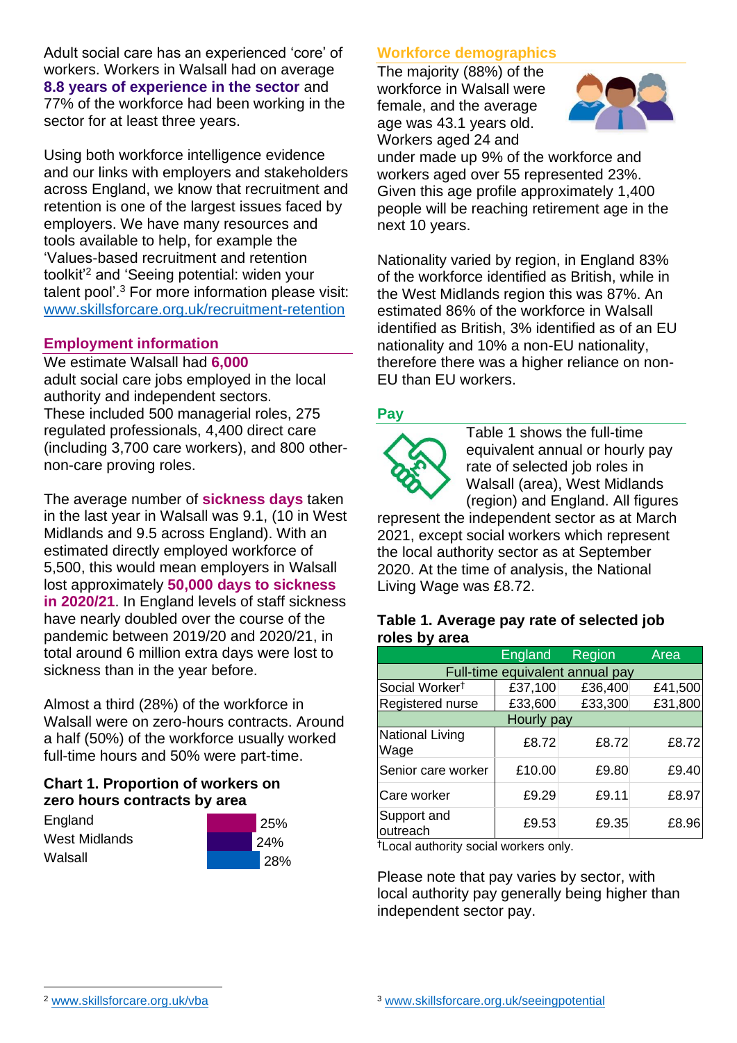Adult social care has an experienced 'core' of workers. Workers in Walsall had on average **8.8 years of experience in the sector** and 77% of the workforce had been working in the sector for at least three years.

Using both workforce intelligence evidence and our links with employers and stakeholders across England, we know that recruitment and retention is one of the largest issues faced by employers. We have many resources and tools available to help, for example the 'Values-based recruitment and retention toolkit'<sup>2</sup> and 'Seeing potential: widen your talent pool'. <sup>3</sup> For more information please visit: [www.skillsforcare.org.uk/recruitment-retention](http://www.skillsforcare.org.uk/recruitment-retention)

### **Employment information**

We estimate Walsall had **6,000** adult social care jobs employed in the local authority and independent sectors. These included 500 managerial roles, 275 regulated professionals, 4,400 direct care (including 3,700 care workers), and 800 othernon-care proving roles.

The average number of **sickness days** taken in the last year in Walsall was 9.1, (10 in West Midlands and 9.5 across England). With an estimated directly employed workforce of 5,500, this would mean employers in Walsall lost approximately **50,000 days to sickness in 2020/21**. In England levels of staff sickness have nearly doubled over the course of the pandemic between 2019/20 and 2020/21, in total around 6 million extra days were lost to sickness than in the year before.

Almost a third (28%) of the workforce in Walsall were on zero-hours contracts. Around a half (50%) of the workforce usually worked full-time hours and 50% were part-time.

### **Chart 1. Proportion of workers on zero hours contracts by area**

**England** West Midlands **Walsall** 

| 25%        |  |  |
|------------|--|--|
| 24%        |  |  |
| <b>28%</b> |  |  |

### **Workforce demographics**

The majority (88%) of the workforce in Walsall were female, and the average age was 43.1 years old. Workers aged 24 and



under made up 9% of the workforce and workers aged over 55 represented 23%. Given this age profile approximately 1,400 people will be reaching retirement age in the next 10 years.

Nationality varied by region, in England 83% of the workforce identified as British, while in the West Midlands region this was 87%. An estimated 86% of the workforce in Walsall identified as British, 3% identified as of an EU nationality and 10% a non-EU nationality, therefore there was a higher reliance on non-EU than EU workers.

### **Pay**



Table 1 shows the full-time equivalent annual or hourly pay rate of selected job roles in Walsall (area), West Midlands (region) and England. All figures

represent the independent sector as at March 2021, except social workers which represent the local authority sector as at September 2020. At the time of analysis, the National Living Wage was £8.72.

#### **Table 1. Average pay rate of selected job roles by area**

|                                 | <b>England</b> | Region  | Area    |
|---------------------------------|----------------|---------|---------|
| Full-time equivalent annual pay |                |         |         |
| Social Worker <sup>t</sup>      | £37,100        | £36,400 | £41,500 |
| Registered nurse                | £33,600        | £33,300 | £31,800 |
| Hourly pay                      |                |         |         |
| National Living<br>Wage         | £8.72          | £8.72   | £8.72   |
| Senior care worker              | £10.00         | £9.80   | £9.40   |
| Care worker                     | £9.29          | £9.11   | £8.97   |
| Support and<br>outreach         | £9.53          | £9.35   | £8.96   |

†Local authority social workers only.

Please note that pay varies by sector, with local authority pay generally being higher than independent sector pay.

[www.skillsforcare.org.uk/vba](http://www.skillsforcare.org.uk/vba)